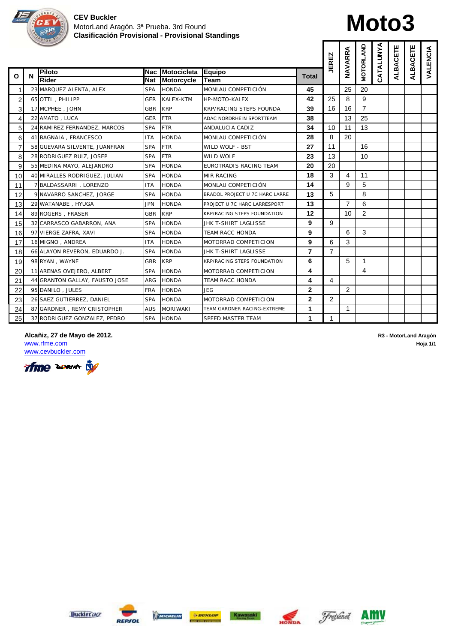

# **Moto3**

|                |   | 01303                          |            |                    |                                |                | <b>JEREZ</b>   | NAVARRA        | <b>MOTORLAND</b> | CATALUNYA | ALBACETE | ALBACETE | VALENCIA |
|----------------|---|--------------------------------|------------|--------------------|--------------------------------|----------------|----------------|----------------|------------------|-----------|----------|----------|----------|
| Ο              | N | <b>Piloto</b>                  | <b>Nac</b> | <b>Motocicleta</b> | Equipo                         | <b>Total</b>   |                |                |                  |           |          |          |          |
|                |   | Rider                          | <b>Nat</b> | <b>Motorcycle</b>  | lTeam                          |                |                |                |                  |           |          |          |          |
|                |   | 23 MARQUEZ ALENTA, ALEX        | <b>SPA</b> | <b>HONDA</b>       | MONLAU COMPETICIÓN             | 45             |                | 25             | 20               |           |          |          |          |
| $\overline{2}$ |   | 65 OTTL, PHILIPP               | <b>GER</b> | <b>KALEX-KTM</b>   | HP-MOTO-KALEX                  | 42             | 25             | 8              | 9                |           |          |          |          |
| 3              |   | 17 MCPHEE, JOHN                | <b>GBR</b> | <b>KRP</b>         | KRP/RACING STEPS FOUNDA        | 39             | 16             | 16             | $\overline{7}$   |           |          |          |          |
| 4              |   | 22 AMATO, LUCA                 | <b>GER</b> | <b>FTR</b>         | ADAC NORDRHEIN SPORTTEAM       | 38             |                | 13             | 25               |           |          |          |          |
| 5              |   | 24 RAMIREZ FERNANDEZ, MARCOS   | <b>SPA</b> | FTR                | ANDALUCIA CADIZ                | 34             | 10             | 11             | 13               |           |          |          |          |
| 6              |   | 41 BAGNAIA, FRANCESCO          | ITA        | <b>HONDA</b>       | MONLAU COMPETICIÓN             | 28             | 8              | 20             |                  |           |          |          |          |
| $\overline{7}$ |   | 58 GUEVARA SILVENTE, JUANFRAN  | <b>SPA</b> | FTR                | WILD WOLF - BST                | 27             | 11             |                | 16               |           |          |          |          |
| 8              |   | 28 RODRIGUEZ RUIZ, JOSEP       | <b>SPA</b> | FTR                | <b>WILD WOLF</b>               | 23             | 13             |                | 10               |           |          |          |          |
| 9              |   | 55 MEDINA MAYO, ALEJANDRO      | <b>SPA</b> | <b>HONDA</b>       | EUROTRADIS RACING TEAM         | 20             | 20             |                |                  |           |          |          |          |
| 10             |   | 40 MIRALLES RODRIGUEZ, JULIAN  | <b>SPA</b> | <b>HONDA</b>       | <b>MIR RACING</b>              | 18             | 3              | 4              | 11               |           |          |          |          |
| 11             |   | 7 BALDASSARRI, LORENZO         | <b>ITA</b> | <b>HONDA</b>       | MONLAU COMPETICIÓN             | 14             |                | 9              | 5                |           |          |          |          |
| 12             |   | 9 NAVARRO SANCHEZ, JORGE       | <b>SPA</b> | <b>HONDA</b>       | BRADOL PROJECT U 7C HARC LARRE | 13             | 5              |                | 8                |           |          |          |          |
| 13             |   | 29 WATANABE, HYUGA             | <b>JPN</b> | <b>HONDA</b>       | PROJECT U 7C HARC LARRESPORT   | 13             |                | $\overline{7}$ | 6                |           |          |          |          |
| 14             |   | 89 ROGERS, FRASER              | <b>GBR</b> | <b>KRP</b>         | KRP/RACING STEPS FOUNDATION    | 12             |                | 10             | $\overline{2}$   |           |          |          |          |
| 15             |   | 32 CARRASCO GABARRON, ANA      | <b>SPA</b> | <b>HONDA</b>       | JHK T-SHIRT LAGLISSE           | 9              | 9              |                |                  |           |          |          |          |
| 16             |   | 97 VIERGE ZAFRA, XAVI          | <b>SPA</b> | <b>HONDA</b>       | <b>TEAM RACC HONDA</b>         | 9              |                | 6              | 3                |           |          |          |          |
| 17             |   | 16 MIGNO, ANDREA               | ITA.       | <b>HONDA</b>       | MOTORRAD COMPETICION           | 9              | 6              | 3              |                  |           |          |          |          |
| 18             |   | 66 ALAYON REVERON, EDUARDO J.  | <b>SPA</b> | <b>HONDA</b>       | JHK T-SHIRT LAGLISSE           | $\overline{7}$ | $\overline{7}$ |                |                  |           |          |          |          |
| 19             |   | 98 RYAN, WAYNE                 | <b>GBR</b> | <b>KRP</b>         | KRP/RACING STEPS FOUNDATION    | 6              |                | 5              | 1                |           |          |          |          |
| 20             |   | 11 ARENAS OVEJERO, ALBERT      | <b>SPA</b> | <b>HONDA</b>       | MOTORRAD COMPETICION           | 4              |                |                | 4                |           |          |          |          |
| 21             |   | 44 GRANTON GALLAY, FAUSTO JOSE | ARG        | <b>HONDA</b>       | TEAM RACC HONDA                | 4              | 4              |                |                  |           |          |          |          |
| 22             |   | 95 DANILO, JULES               | <b>FRA</b> | <b>HONDA</b>       | <b>JEG</b>                     | $\mathbf{2}$   |                | $\overline{2}$ |                  |           |          |          |          |
| 23             |   | 26 SAEZ GUTIERREZ, DANIEL      | <b>SPA</b> | <b>HONDA</b>       | MOTORRAD COMPETICION           | $\mathbf{2}$   | $\overline{2}$ |                |                  |           |          |          |          |
| 24             |   | 87 GARDNER, REMY CRISTOPHER    | <b>AUS</b> | <b>MORIWAKI</b>    | TEAM GARDNER RACING-EXTREME    | 1              |                | 1              |                  |           |          |          |          |
| 25             |   | 37 RODRIGUEZ GONZALEZ, PEDRO   | <b>SPA</b> | <b>HONDA</b>       | SPEED MASTER TEAM              | 1              | $\mathbf{1}$   |                |                  |           |          |          |          |

**Alcañiz, 27 de Mayo de 2012. R3 - MotorLand Aragón**

www.cevbuckler.com















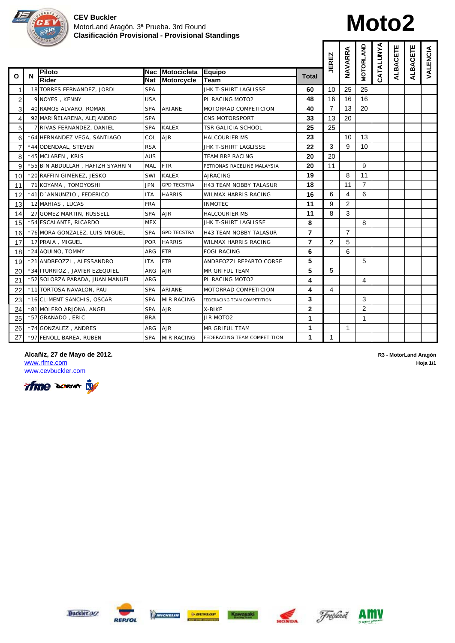

# **Moto2**

|                |   | 01303<br>Piloto                  | Nac        | Motocicleta        | Equipo                        |                | <b>JEREZ</b>   | NAVARRA        | <b>MOTORLAND</b> | CATALUNYA | ALBACETE | ALBACETE | VALENCIA |
|----------------|---|----------------------------------|------------|--------------------|-------------------------------|----------------|----------------|----------------|------------------|-----------|----------|----------|----------|
| O              | N | Rider                            | <b>Nat</b> | <b>Motorcycle</b>  | Team                          | Total          |                |                |                  |           |          |          |          |
| 1              |   | 18 TORRES FERNANDEZ, JORDI       | <b>SPA</b> |                    | JHK T-SHIRT LAGLISSE          | 60             | 10             | 25             | 25               |           |          |          |          |
| $\overline{a}$ |   | 9 NOYES, KENNY                   | USA        |                    | PL RACING MOTO2               | 48             | 16             | 16             | 16               |           |          |          |          |
| 3              |   | 40 RAMOS ALVARO, ROMAN           | <b>SPA</b> | ARIANE             | MOTORRAD COMPETICION          | 40             | $\overline{7}$ | 13             | 20               |           |          |          |          |
| 4              |   | 92 MARIÑELARENA, ALEJANDRO       | <b>SPA</b> |                    | CNS MOTORSPORT                | 33             | 13             | 20             |                  |           |          |          |          |
| 5              |   | 7 RIVAS FERNANDEZ, DANIEL        | <b>SPA</b> | <b>KALEX</b>       | <b>TSR GALICIA SCHOOL</b>     | 25             | 25             |                |                  |           |          |          |          |
| 6              |   | *64 HERNANDEZ VEGA, SANTIAGO     | COL        | <b>AJR</b>         | <b>HALCOURIER MS</b>          | 23             |                | 10             | 13               |           |          |          |          |
| $\overline{7}$ |   | *44 ODENDAAL, STEVEN             | <b>RSA</b> |                    | JHK T-SHIRT LAGLISSE          | 22             | 3              | 9              | 10               |           |          |          |          |
| 8              |   | *45 MCLAREN, KRIS                | <b>AUS</b> |                    | <b>TEAM BRP RACING</b>        | 20             | 20             |                |                  |           |          |          |          |
| 9              |   | *55 BIN ABDULLAH, HAFIZH SYAHRIN | MAL        | <b>FTR</b>         | PETRONAS RACELINE MALAYSIA    | 20             | 11             |                | 9                |           |          |          |          |
| 10             |   | *20 RAFFIN GIMENEZ, JESKO        | SWI        | <b>KALEX</b>       | <b>AJRACING</b>               | 19             |                | 8              | 11               |           |          |          |          |
| 11             |   | 71 KOYAMA, TOMOYOSHI             | JPN        | <b>GPD TECSTRA</b> | <b>H43 TEAM NOBBY TALASUR</b> | 18             |                | 11             | $\overline{7}$   |           |          |          |          |
| 12             |   | *41 D ANNUNZIO, FEDERICO         | <b>ITA</b> | <b>HARRIS</b>      | WILMAX HARRIS RACING          | 16             | 6              | 4              | 6                |           |          |          |          |
| 13             |   | 12 MAHIAS, LUCAS                 | <b>FRA</b> |                    | <b>INMOTEC</b>                | 11             | 9              | 2              |                  |           |          |          |          |
| 14             |   | 27 GOMEZ MARTIN, RUSSELL         | <b>SPA</b> | <b>AJR</b>         | <b>HALCOURIER MS</b>          | 11             | 8              | 3              |                  |           |          |          |          |
| 15             |   | *54 ESCALANTE, RICARDO           | <b>MEX</b> |                    | JHK T-SHIRT LAGLISSE          | 8              |                |                | 8                |           |          |          |          |
| 16             |   | *76 MORA GONZALEZ, LUIS MIGUEL   | <b>SPA</b> | <b>GPD TECSTRA</b> | <b>H43 TEAM NOBBY TALASUR</b> | $\overline{7}$ |                | $\overline{7}$ |                  |           |          |          |          |
| 17             |   | 17 PRAIA, MIGUEL                 | <b>POR</b> | <b>HARRIS</b>      | <b>WILMAX HARRIS RACING</b>   | $\overline{7}$ | $\overline{2}$ | 5              |                  |           |          |          |          |
| 18             |   | *24 AQUINO, TOMMY                | ARG        | <b>FTR</b>         | <b>FOGI RACING</b>            | 6              |                | 6              |                  |           |          |          |          |
| 19             |   | *21 ANDREOZZI, ALESSANDRO        | <b>ITA</b> | <b>FTR</b>         | ANDREOZZI REPARTO CORSE       | 5              |                |                | 5                |           |          |          |          |
| 20             |   | *34 ITURRIOZ, JAVIER EZEQUIEL    | <b>ARG</b> | <b>AJR</b>         | <b>MR GRIFUL TEAM</b>         | 5              | 5              |                |                  |           |          |          |          |
| 21             |   | *52 SOLORZA PARADA, JUAN MANUEL  | ARG        |                    | PL RACING MOTO2               | 4              |                |                | 4                |           |          |          |          |
| 22             |   | *11 TORTOSA NAVALON, PAU         | <b>SPA</b> | ARIANE             | MOTORRAD COMPETICION          | 4              | 4              |                |                  |           |          |          |          |
| 23             |   | *16 CLIMENT SANCHIS, OSCAR       | <b>SPA</b> | <b>MIR RACING</b>  | FEDERACING TEAM COMPETITION   | 3              |                |                | 3                |           |          |          |          |
| 24             |   | *81 MOLERO ARJONA, ANGEL         | <b>SPA</b> | <b>AJR</b>         | X-BIKE                        | $\mathbf 2$    |                |                | 2                |           |          |          |          |
| 25             |   | *57 GRANADO, ERIC                | <b>BRA</b> |                    | <b>JIR MOTO2</b>              | 1              |                |                | 1                |           |          |          |          |
| 26             |   | *74 GONZALEZ, ANDRES             | ARG        | <b>AJR</b>         | <b>MR GRIFUL TEAM</b>         | 1              |                | $\mathbf{1}$   |                  |           |          |          |          |
| 27             |   | *97 FENOLL BAREA, RUBEN          | SPA        | <b>MIR RACING</b>  | FEDERACING TEAM COMPETITION   | 1              | 1              |                |                  |           |          |          |          |

**Alcañiz, 27 de Mayo de 2012. R3 - MotorLand Aragón** www.rfme.com **Hoja 1/1** www.cevbuckler.com















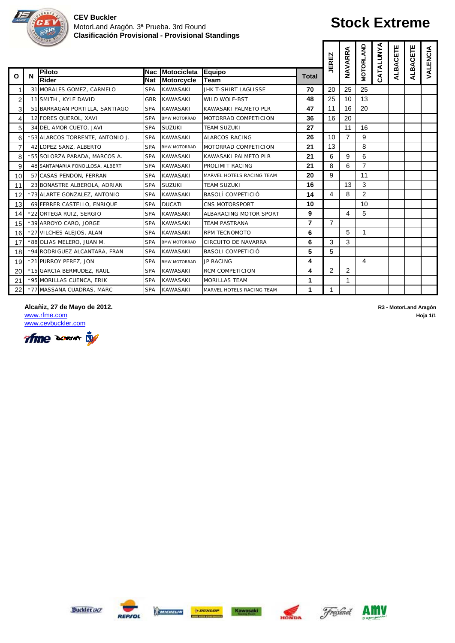

## **Stock Extreme**

|                |   | 6130                             |                          |                                         |                             |                | <b>JEREZ</b>   | NAVARRA        | <b>MOTORLAND</b> | CATALUNYA | ALBACETE | ALBACETE | VALENCIA |
|----------------|---|----------------------------------|--------------------------|-----------------------------------------|-----------------------------|----------------|----------------|----------------|------------------|-----------|----------|----------|----------|
| Ο              | N | <b>Piloto</b><br><b>Rider</b>    | <b>Nac</b><br><b>Nat</b> | <b>Motocicleta</b><br><b>Motorcycle</b> | <b>Equipo</b><br>Team       | Total          |                |                |                  |           |          |          |          |
| 1              |   | 31 MORALES GOMEZ, CARMELO        | <b>SPA</b>               | <b>KAWASAKI</b>                         | <b>JHK T-SHIRT LAGLISSE</b> | 70             | 20             | 25             | 25               |           |          |          |          |
| $\overline{2}$ |   | 11 SMITH, KYLE DAVID             | <b>GBR</b>               | <b>KAWASAKI</b>                         | <b>WILD WOLF-BST</b>        | 48             | 25             | 10             | 13               |           |          |          |          |
| 3              |   | 51 BARRAGAN PORTILLA, SANTIAGO   | <b>SPA</b>               | <b>KAWASAKI</b>                         | KAWASAKI PALMETO PLR        | 47             | 11             | 16             | 20               |           |          |          |          |
| $\overline{4}$ |   | 12 FORES QUEROL, XAVI            | <b>SPA</b>               | <b>BMW MOTORRAD</b>                     | MOTORRAD COMPETICION        | 36             | 16             | 20             |                  |           |          |          |          |
| 5              |   | 34 DEL AMOR CUETO, JAVI          | <b>SPA</b>               | <b>SUZUKI</b>                           | <b>TEAM SUZUKI</b>          | 27             |                | 11             | 16               |           |          |          |          |
| 6              |   | *53 ALARCOS TORRENTE, ANTONIO J. | <b>SPA</b>               | <b>KAWASAKI</b>                         | <b>ALARCOS RACING</b>       | 26             | 10             | 7              | 9                |           |          |          |          |
| $\overline{7}$ |   | 42 LOPEZ SANZ, ALBERTO           | <b>SPA</b>               | <b>BMW MOTORRAD</b>                     | MOTORRAD COMPETICION        | 21             | 13             |                | 8                |           |          |          |          |
| 8              |   | *55 SOLORZA PARADA, MARCOS A.    | <b>SPA</b>               | <b>KAWASAKI</b>                         | KAWASAKI PALMETO PLR        | 21             | 6              | 9              | 6                |           |          |          |          |
| 9              |   | 48 SANTAMARIA FONOLLOSA, ALBERT  | <b>SPA</b>               | <b>KAWASAKI</b>                         | PROLIMIT RACING             | 21             | 8              | 6              | $\overline{7}$   |           |          |          |          |
| 10             |   | 57 CASAS PENDON, FERRAN          | <b>SPA</b>               | <b>KAWASAKI</b>                         | MARVEL HOTELS RACING TEAM   | 20             | 9              |                | 11               |           |          |          |          |
| 11             |   | 23 BONASTRE ALBEROLA, ADRIAN     | <b>SPA</b>               | <b>SUZUKI</b>                           | <b>TEAM SUZUKI</b>          | 16             |                | 13             | 3                |           |          |          |          |
| 12             |   | *73 ALARTE GONZALEZ, ANTONIO     | <b>SPA</b>               | <b>KAWASAKI</b>                         | <b>BASOLÍ COMPETICIÓ</b>    | 14             | 4              | 8              | $\overline{2}$   |           |          |          |          |
| 13             |   | 69 FERRER CASTELLO, ENRIQUE      | <b>SPA</b>               | <b>DUCATI</b>                           | <b>CNS MOTORSPORT</b>       | 10             |                |                | 10               |           |          |          |          |
| 14             |   | *22 ORTEGA RUIZ, SERGIO          | <b>SPA</b>               | <b>KAWASAKI</b>                         | ALBARACING MOTOR SPORT      | 9              |                | 4              | 5                |           |          |          |          |
| 15             |   | *39 ARROYO CARO, JORGE           | <b>SPA</b>               | <b>KAWASAKI</b>                         | <b>TEAM PASTRANA</b>        | $\overline{7}$ | $\overline{7}$ |                |                  |           |          |          |          |
| 16             |   | *27 VILCHES ALEJOS, ALAN         | <b>SPA</b>               | <b>KAWASAKI</b>                         | <b>RPM TECNOMOTO</b>        | 6              |                | 5              | 1                |           |          |          |          |
| 17             |   | *88 OLIAS MELERO, JUAN M.        | <b>SPA</b>               | <b>BMW MOTORRAD</b>                     | <b>CIRCUITO DE NAVARRA</b>  | 6              | 3              | 3              |                  |           |          |          |          |
| 18             |   | *94 RODRIGUEZ ALCANTARA, FRAN    | <b>SPA</b>               | <b>KAWASAKI</b>                         | <b>BASOLI COMPETICIÓ</b>    | 5              | 5              |                |                  |           |          |          |          |
| 19             |   | *21 PURROY PEREZ, JON            | <b>SPA</b>               | <b>BMW MOTORRAD</b>                     | <b>JP RACING</b>            | 4              |                |                | 4                |           |          |          |          |
| <b>20</b>      |   | *15 GARCIA BERMUDEZ, RAUL        | <b>SPA</b>               | <b>KAWASAKI</b>                         | <b>RCM COMPETICION</b>      | 4              | 2              | $\overline{2}$ |                  |           |          |          |          |
| 21             |   | *95 MORILLAS CUENCA, ERIK        | <b>SPA</b>               | <b>KAWASAKI</b>                         | <b>MORILLAS TEAM</b>        | 1              |                | 1              |                  |           |          |          |          |
| 22             |   | *77 MASSANA CUADRAS, MARC        | <b>SPA</b>               | <b>KAWASAKI</b>                         | MARVEL HOTELS RACING TEAM   | 1              | 1              |                |                  |           |          |          |          |

**Alcañiz, 27 de Mayo de 2012. R3 - MotorLand Aragón**

www.cevbuckler.com













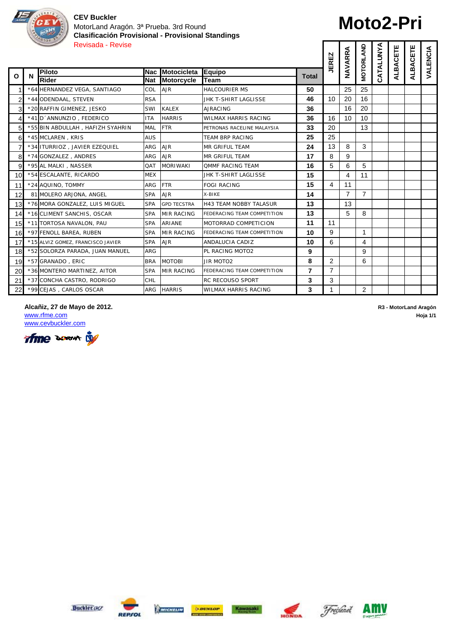

#### **CEV Buckler**

**MotorLand Aragón. 3ª Prueba. 3rd Round** *Clasificación Provisional - Provisional Standings* Revisada - Revise

# **Moto2-Pri**

|                |   | 0,330,3<br>Revisada - Revise      |                   |                                         |                               |                | <b>JEREZ</b>   | NAVARRA        | <b>MOTORLAND</b> | CATALUNYA | ALBACETE | ALBACETE | VALENCIA |
|----------------|---|-----------------------------------|-------------------|-----------------------------------------|-------------------------------|----------------|----------------|----------------|------------------|-----------|----------|----------|----------|
| $\Omega$       | N | <b>Piloto</b><br>Rider            | Nac<br><b>Nat</b> | <b>Motocicleta</b><br><b>Motorcycle</b> | Equipo<br>lTeam               | <b>Total</b>   |                |                |                  |           |          |          |          |
|                |   | *64 HERNANDEZ VEGA, SANTIAGO      | <b>COL</b>        | <b>AJR</b>                              | <b>HALCOURIER MS</b>          | 50             |                | 25             | 25               |           |          |          |          |
| $\overline{a}$ |   | *44 ODENDAAL, STEVEN              | <b>RSA</b>        |                                         | <b>JHK T-SHIRT LAGLISSE</b>   | 46             | 10             | 20             | 16               |           |          |          |          |
| 3              |   | *20 RAFFIN GIMENEZ, JESKO         | SWI               | <b>KALEX</b>                            | <b>AJRACING</b>               | 36             |                | 16             | 20               |           |          |          |          |
| 4              |   | *41 D'ANNUNZIO, FEDERICO          | <b>ITA</b>        | <b>HARRIS</b>                           | <b>WILMAX HARRIS RACING</b>   | 36             | 16             | 10             | 10               |           |          |          |          |
| 5 <sub>l</sub> |   | *55 BIN ABDULLAH, HAFIZH SYAHRIN  | <b>MAL</b>        | FTR                                     | PETRONAS RACELINE MALAYSIA    | 33             | 20             |                | 13               |           |          |          |          |
| 6              |   | *45 MCLAREN, KRIS                 | <b>AUS</b>        |                                         | <b>TEAM BRP RACING</b>        | 25             | 25             |                |                  |           |          |          |          |
| $\overline{7}$ |   | *34 ITURRIOZ, JAVIER EZEQUIEL     | ARG               | <b>AJR</b>                              | <b>MR GRIFUL TEAM</b>         | 24             | 13             | 8              | 3                |           |          |          |          |
| 8              |   | *74 GONZALEZ, ANDRES              | ARG               | <b>AJR</b>                              | <b>MR GRIFUL TEAM</b>         | 17             | 8              | 9              |                  |           |          |          |          |
| 9              |   | *95 AL MALKI, NASSER              | QAT               | <b>MORIWAKI</b>                         | <b>QMMF RACING TEAM</b>       | 16             | 5              | 6              | 5                |           |          |          |          |
| 10             |   | *54 ESCALANTE, RICARDO            | <b>MEX</b>        |                                         | <b>JHK T-SHIRT LAGLISSE</b>   | 15             |                | 4              | 11               |           |          |          |          |
| 11             |   | *24 AQUINO, TOMMY                 | ARG               | <b>FTR</b>                              | <b>FOGI RACING</b>            | 15             | 4              | 11             |                  |           |          |          |          |
| 12             |   | 81 MOLERO ARJONA, ANGEL           | <b>SPA</b>        | <b>AJR</b>                              | X-BIKE                        | 14             |                | $\overline{7}$ | $\overline{7}$   |           |          |          |          |
| 13             |   | *76 MORA GONZALEZ, LUIS MIGUEL    | <b>SPA</b>        | <b>GPD TECSTRA</b>                      | <b>H43 TEAM NOBBY TALASUR</b> | 13             |                | 13             |                  |           |          |          |          |
| 14             |   | *16 CLIMENT SANCHIS, OSCAR        | <b>SPA</b>        | <b>MIR RACING</b>                       | FEDERACING TEAM COMPETITION   | 13             |                | 5              | 8                |           |          |          |          |
| 15             |   | *11 TORTOSA NAVALON, PAU          | <b>SPA</b>        | ARIANE                                  | MOTORRAD COMPETICION          | 11             | 11             |                |                  |           |          |          |          |
| 16             |   | *97 FENOLL BAREA, RUBEN           | <b>SPA</b>        | <b>MIR RACING</b>                       | FEDERACING TEAM COMPETITION   | 10             | 9              |                | $\mathbf{1}$     |           |          |          |          |
| 17             |   | *15 ALVIZ GOMEZ, FRANCISCO JAVIER | <b>SPA</b>        | <b>AJR</b>                              | <b>ANDALUCIA CADIZ</b>        | 10             | 6              |                | 4                |           |          |          |          |
| 18             |   | *52 SOLORZA PARADA, JUAN MANUEL   | ARG               |                                         | PL RACING MOTO2               | 9              |                |                | 9                |           |          |          |          |
| 19             |   | *57 GRANADO, ERIC                 | <b>BRA</b>        | <b>MOTOBI</b>                           | <b>JIR MOTO2</b>              | 8              | 2              |                | 6                |           |          |          |          |
| 20             |   | *36 MONTERO MARTINEZ, AITOR       | <b>SPA</b>        | <b>MIR RACING</b>                       | FEDERACING TEAM COMPETITION   | $\overline{7}$ | $\overline{7}$ |                |                  |           |          |          |          |
| 21             |   | *37 CONCHA CASTRO, RODRIGO        | <b>CHL</b>        |                                         | <b>RC RECOUSO SPORT</b>       | 3              | 3              |                |                  |           |          |          |          |
| 22             |   | *99 CEJAS, CARLOS OSCAR           |                   | ARG HARRIS                              | <b>WILMAX HARRIS RACING</b>   | 3              | 1              |                | $\overline{2}$   |           |          |          |          |

**Alcañiz, 27 de Mayo de 2012. R3 - MotorLand Aragón**

www.cevbuckler.com













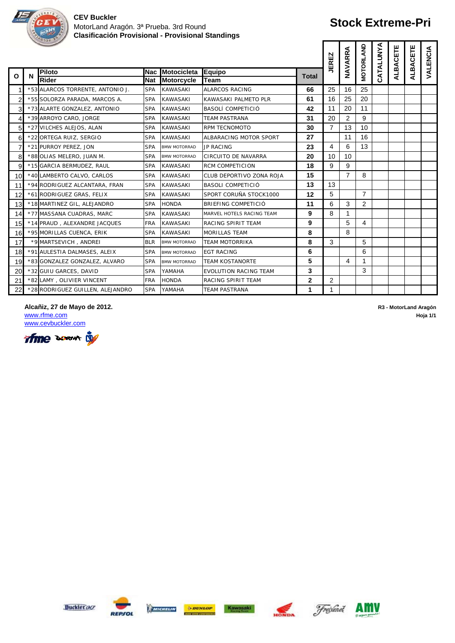

### **Stock Extreme-Pri**

|                |   | 63302                            |                   |                                  |                              |              | <b>JEREZ</b>   | NAVARRA        | <b>MOTORLAND</b> | CATALUNYA | ALBACETE | ALBACETE | VALENCIA |
|----------------|---|----------------------------------|-------------------|----------------------------------|------------------------------|--------------|----------------|----------------|------------------|-----------|----------|----------|----------|
| Ο              | N | <b>Piloto</b><br><b>Rider</b>    | <b>Nac</b><br>Nat | Motocicleta<br><b>Motorcycle</b> | Equipo<br>lTeam              | <b>Total</b> |                |                |                  |           |          |          |          |
|                |   | *53 ALARCOS TORRENTE, ANTONIO J. | <b>SPA</b>        | <b>KAWASAKI</b>                  | <b>ALARCOS RACING</b>        | 66           | 25             | 16             | 25               |           |          |          |          |
| $\overline{2}$ |   | *55 SOLORZA PARADA, MARCOS A.    | <b>SPA</b>        | <b>KAWASAKI</b>                  | KAWASAKI PALMETO PLR         | 61           | 16             | 25             | 20               |           |          |          |          |
| 3              |   | *73 ALARTE GONZALEZ, ANTONIO     | <b>SPA</b>        | <b>KAWASAKI</b>                  | <b>BASOLÍ COMPETICIÓ</b>     | 42           | 11             | 20             | 11               |           |          |          |          |
| 4              |   | *39 ARROYO CARO, JORGE           | <b>SPA</b>        | <b>KAWASAKI</b>                  | <b>TEAM PASTRANA</b>         | 31           | 20             | $\overline{2}$ | 9                |           |          |          |          |
| 5 <sub>l</sub> |   | *27 VILCHES ALEJOS, ALAN         | <b>SPA</b>        | <b>KAWASAKI</b>                  | <b>RPM TECNOMOTO</b>         | 30           | $\overline{7}$ | 13             | 10               |           |          |          |          |
| 6              |   | *22 ORTEGA RUIZ, SERGIO          | <b>SPA</b>        | <b>KAWASAKI</b>                  | ALBARACING MOTOR SPORT       | 27           |                | 11             | 16               |           |          |          |          |
| 7              |   | *21 PURROY PEREZ, JON            | <b>SPA</b>        | <b>BMW MOTORRAD</b>              | JP RACING                    | 23           | $\overline{4}$ | 6              | 13               |           |          |          |          |
| 8              |   | *88 OLIAS MELERO, JUAN M.        | <b>SPA</b>        | <b>BMW MOTORRAD</b>              | <b>CIRCUITO DE NAVARRA</b>   | 20           | 10             | 10             |                  |           |          |          |          |
| 9              |   | *15 GARCIA BERMUDEZ, RAUL        | <b>SPA</b>        | <b>KAWASAKI</b>                  | <b>RCM COMPETICION</b>       | 18           | 9              | 9              |                  |           |          |          |          |
| 10             |   | *40 LAMBERTO CALVO, CARLOS       | <b>SPA</b>        | <b>KAWASAKI</b>                  | CLUB DEPORTIVO ZONA ROJA     | 15           |                | $\overline{7}$ | 8                |           |          |          |          |
| 11             |   | *94 RODRIGUEZ ALCANTARA, FRAN    | <b>SPA</b>        | <b>KAWASAKI</b>                  | BASOLI COMPETICIÓ            | 13           | 13             |                |                  |           |          |          |          |
| 12             |   | *61 RODRIGUEZ GRAS, FELIX        | <b>SPA</b>        | <b>KAWASAKI</b>                  | SPORT CORUÑA STOCK1000       | 12           | 5              |                | $\overline{7}$   |           |          |          |          |
| 13             |   | *18 MARTINEZ GIL, ALEJANDRO      | <b>SPA</b>        | <b>HONDA</b>                     | <b>BRIEFING COMPETICIÓ</b>   | 11           | 6              | 3              | $\overline{2}$   |           |          |          |          |
| 14             |   | *77 MASSANA CUADRAS, MARC        | <b>SPA</b>        | <b>KAWASAKI</b>                  | MARVEL HOTELS RACING TEAM    | 9            | 8              | 1              |                  |           |          |          |          |
| 15             |   | *14 PRAUD, ALEXANDRE JACQUES     | <b>FRA</b>        | <b>KAWASAKI</b>                  | <b>RACING SPIRIT TEAM</b>    | 9            |                | 5              | 4                |           |          |          |          |
| 16             |   | *95 MORILLAS CUENCA, ERIK        | <b>SPA</b>        | <b>KAWASAKI</b>                  | <b>MORILLAS TEAM</b>         | 8            |                | 8              |                  |           |          |          |          |
| 17             |   | *9 MARTSEVICH, ANDREI            | <b>BLR</b>        | <b>BMW MOTORRAD</b>              | <b>TEAM MOTORRIKA</b>        | 8            | 3              |                | 5                |           |          |          |          |
| 18             |   | *91 AULESTIA DALMASES, ALEIX     | <b>SPA</b>        | <b>BMW MOTORRAD</b>              | <b>EGT RACING</b>            | 6            |                |                | 6                |           |          |          |          |
| 19             |   | *83 GONZALEZ GONZALEZ, ALVARO    | <b>SPA</b>        | <b>BMW MOTORRAD</b>              | <b>TEAM KOSTANORTE</b>       | 5            |                | 4              | 1                |           |          |          |          |
| 20             |   | *32 GUIU GARCES, DAVID           | <b>SPA</b>        | YAMAHA                           | <b>EVOLUTION RACING TEAM</b> | 3            |                |                | 3                |           |          |          |          |
| 21             |   | *82 LAMY, OLIVIER VINCENT        | <b>FRA</b>        | <b>HONDA</b>                     | RACING SPIRIT TEAM           | $\mathbf{2}$ | $\overline{2}$ |                |                  |           |          |          |          |
| 22             |   | *28 RODRIGUEZ GUILLEN, ALEJANDRO | <b>SPA</b>        | YAMAHA                           | <b>TEAM PASTRANA</b>         | 1            | 1              |                |                  |           |          |          |          |

**Alcañiz, 27 de Mayo de 2012. R3 - MotorLand Aragón**

www.cevbuckler.com